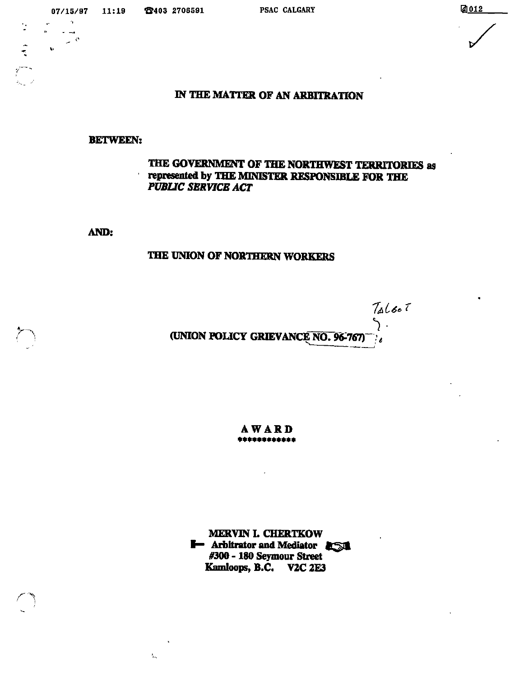$\frac{1}{2}$ 

# IN THE MATTER OF AN ARBITRATION

### **BETWEEN:**

## THE GOVERNMENT OF THE NORTHWEST TERRITORIES as represented by THE MINISTER RESPONSIBLE FOR THE **PUBLIC SERVICE ACT**

AND:

 $\mathcal{I}_{\mathcal{U}_1}$ 

# THE UNION OF NORTHERN WORKERS

 $7a1b0$  $\mathcal{L}$ (UNION POLICY GRIEVANCE NO. 96-767)

**AWARD** \*\*\*\*\*\*\*\*\*\*\*\*

**MERVIN L CHERTKOW I-** Arbitrator and Mediator 25 #300 - 180 Seymour Street Kamloops, B.C. V2C 2E3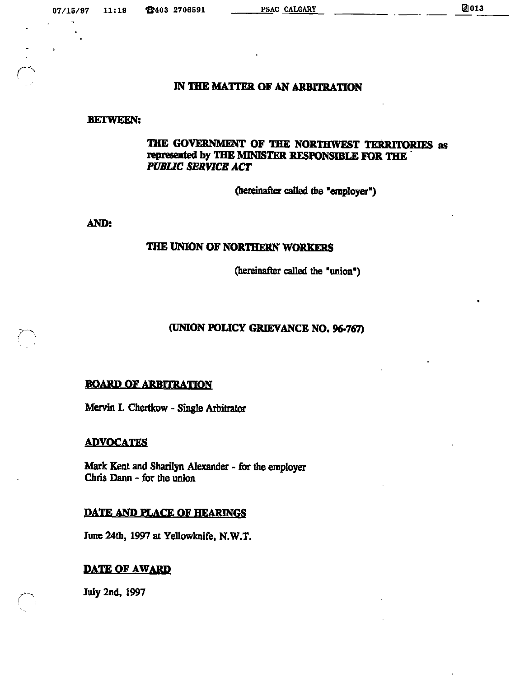r

## IN THE MATTER OF AN ARBITRATION

#### BETWEEN:

# THE GOVERNMENT OF THE NORTHWEST TERRITORIES as represented by THE MINISTER RESPONSIBLE FOR THE ' **PUBLIC SERVICE ACT**

(hereinafter called the "employer")

AND:

## THE UNION OF NORTHERN WORKERS

(hereinafter called the "union")

# (UNION POLICY GRIEVANCE NO. 96>767)

### **BOARD OF ARBITRATION**

Mervin I. Chertkow - Single Arbitrator

### ADVOCATES

Mark Kent and Sharilyn Alexander - for the employer Chris Dann - for the union

### DATE AND PLACE OF HEARINGS

June 24th, 1997 at Yellowknife, N.W.T.

### DATE OF AWARD

July 2nd, 1997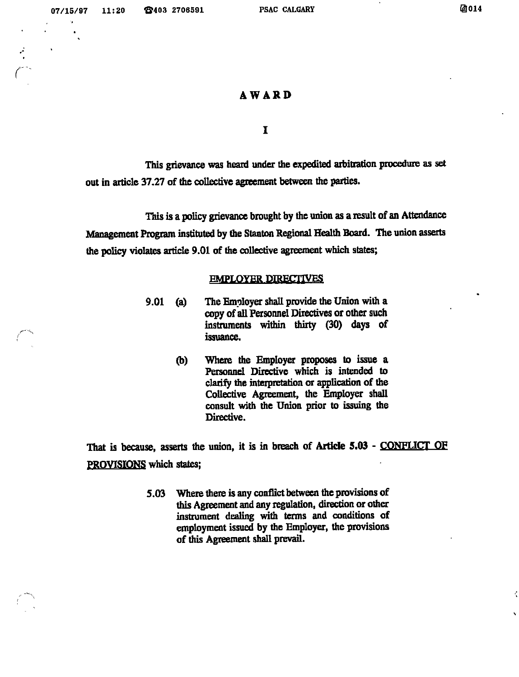r'-

K

 $\hat{\mathbf{z}}$ 

## AWARD

I

This grievance was heard under the expedited arbitration procedure as set out in article 37.27 of the collective agreement between the parties.

This is a policy grievance brought by the union as a result of an Attendance Management Program instituted by the Stanton Regional Health Board. The union asserts the policy violates article 9.01 of the collective agreement which states;

#### **EMPLOYER DIRECTIVES**

- 9.01 (a) The Employer shall provide the Union with a copy of all Personnel Directives or other such instruments within thirty (30) days of issuance.
	- (b) Where the Employer proposes to issue a Personnel Directive which is intended to clarify the interpretation or application of the Collective Agreement, the Employer shall consult with the Union prior to issuing the Directive.

That is because, asserts the union, it is in breach of Article 5.03 - CONFLICT OF PROVISIONS which states:

> 5.03 Where there is any conflict between the provisions of this Agreement and any regulation, direction or other instrument dealing with terms and conditions of employment issued by the Employer, the provisions of this Agreement shall prevail.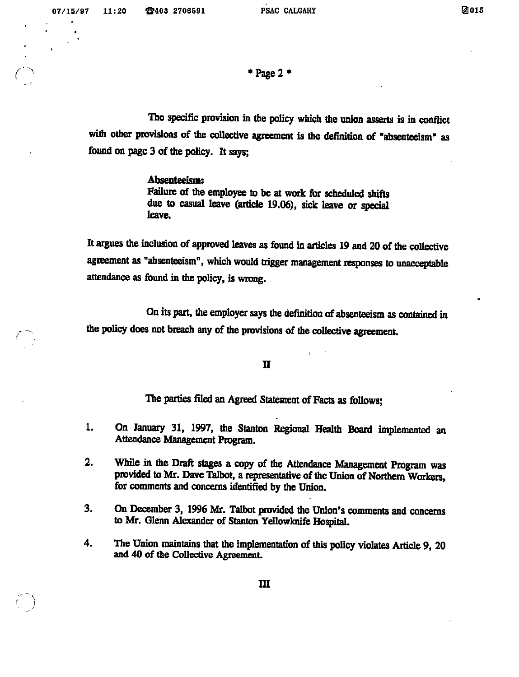$*$  Page 2  $*$ 

The specific provision in the policy which the union asserts is in conflict with other provisions of the collective agreement is the definition of "absenteeism" as found on page 3 of the policy. It says;

#### Absenteeism:

Failure of the employee to be at work for scheduled shifts due to casual leave (article 19.06), sick leave or special leave.

It argues the inclusion of approved leaves as found in articles 19 and 20 of the collective agreement as "absenteeism", which would trigger management responses to unacceptable attendance as found in the policy, is wrong.

On its part, the employer says the definition of absenteeism as contained in the policy does not breach any of the provisions of the collective agreement.

n

The parties filed an Agreed Statement of Facts as follows;

- 1. On January 31, 1997, the Stanton Regional Health Board implemented an Attendance Management Program.
- 2. While in the Draft stages a copy of the Attendance Management Program was provided to Mr. Dave Talbot, a representative of the Union of Northern Workers, for comments and concerns identified by the Union.
- 3. On December 3, 1996 Mr. Talbot provided the Union's comments and concerns to Mr. Glenn Alexander of Stanton Yellowknife HospitaL
- 4. The Union maintains that the implementation of this policy violates Article 9, 20 and 40 of the Collective Agreement.